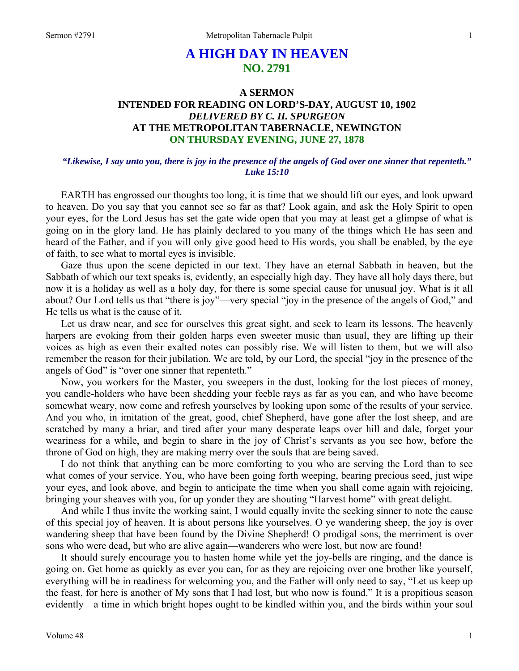# **A HIGH DAY IN HEAVEN NO. 2791**

# **A SERMON INTENDED FOR READING ON LORD'S-DAY, AUGUST 10, 1902**  *DELIVERED BY C. H. SPURGEON*  **AT THE METROPOLITAN TABERNACLE, NEWINGTON ON THURSDAY EVENING, JUNE 27, 1878**

### *"Likewise, I say unto you, there is joy in the presence of the angels of God over one sinner that repenteth." Luke 15:10*

EARTH has engrossed our thoughts too long, it is time that we should lift our eyes, and look upward to heaven. Do you say that you cannot see so far as that? Look again, and ask the Holy Spirit to open your eyes, for the Lord Jesus has set the gate wide open that you may at least get a glimpse of what is going on in the glory land. He has plainly declared to you many of the things which He has seen and heard of the Father, and if you will only give good heed to His words, you shall be enabled, by the eye of faith, to see what to mortal eyes is invisible.

Gaze thus upon the scene depicted in our text. They have an eternal Sabbath in heaven, but the Sabbath of which our text speaks is, evidently, an especially high day. They have all holy days there, but now it is a holiday as well as a holy day, for there is some special cause for unusual joy. What is it all about? Our Lord tells us that "there is joy"—very special "joy in the presence of the angels of God," and He tells us what is the cause of it.

Let us draw near, and see for ourselves this great sight, and seek to learn its lessons. The heavenly harpers are evoking from their golden harps even sweeter music than usual, they are lifting up their voices as high as even their exalted notes can possibly rise. We will listen to them, but we will also remember the reason for their jubilation. We are told, by our Lord, the special "joy in the presence of the angels of God" is "over one sinner that repenteth."

Now, you workers for the Master, you sweepers in the dust, looking for the lost pieces of money, you candle-holders who have been shedding your feeble rays as far as you can, and who have become somewhat weary, now come and refresh yourselves by looking upon some of the results of your service. And you who, in imitation of the great, good, chief Shepherd, have gone after the lost sheep, and are scratched by many a briar, and tired after your many desperate leaps over hill and dale, forget your weariness for a while, and begin to share in the joy of Christ's servants as you see how, before the throne of God on high, they are making merry over the souls that are being saved.

I do not think that anything can be more comforting to you who are serving the Lord than to see what comes of your service. You, who have been going forth weeping, bearing precious seed, just wipe your eyes, and look above, and begin to anticipate the time when you shall come again with rejoicing, bringing your sheaves with you, for up yonder they are shouting "Harvest home" with great delight.

And while I thus invite the working saint, I would equally invite the seeking sinner to note the cause of this special joy of heaven. It is about persons like yourselves. O ye wandering sheep, the joy is over wandering sheep that have been found by the Divine Shepherd! O prodigal sons, the merriment is over sons who were dead, but who are alive again—wanderers who were lost, but now are found!

It should surely encourage you to hasten home while yet the joy-bells are ringing, and the dance is going on. Get home as quickly as ever you can, for as they are rejoicing over one brother like yourself, everything will be in readiness for welcoming you, and the Father will only need to say, "Let us keep up the feast, for here is another of My sons that I had lost, but who now is found." It is a propitious season evidently—a time in which bright hopes ought to be kindled within you, and the birds within your soul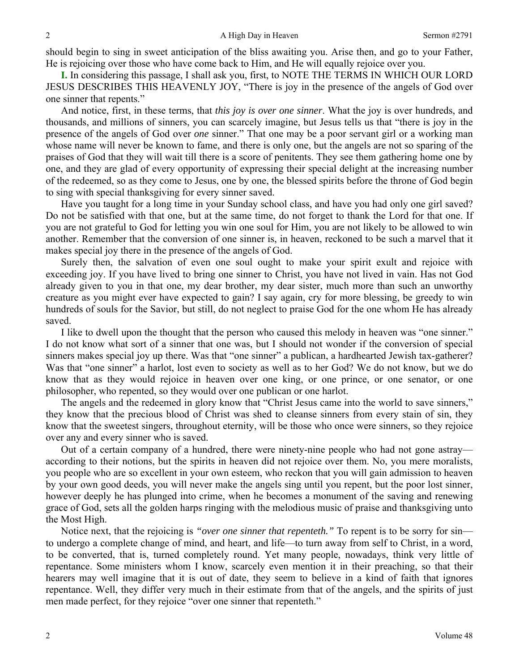should begin to sing in sweet anticipation of the bliss awaiting you. Arise then, and go to your Father, He is rejoicing over those who have come back to Him, and He will equally rejoice over you.

**I.** In considering this passage, I shall ask you, first, to NOTE THE TERMS IN WHICH OUR LORD JESUS DESCRIBES THIS HEAVENLY JOY, "There is joy in the presence of the angels of God over one sinner that repents."

And notice, first, in these terms, that *this joy is over one sinner*. What the joy is over hundreds, and thousands, and millions of sinners, you can scarcely imagine, but Jesus tells us that "there is joy in the presence of the angels of God over *one* sinner." That one may be a poor servant girl or a working man whose name will never be known to fame, and there is only one, but the angels are not so sparing of the praises of God that they will wait till there is a score of penitents. They see them gathering home one by one, and they are glad of every opportunity of expressing their special delight at the increasing number of the redeemed, so as they come to Jesus, one by one, the blessed spirits before the throne of God begin to sing with special thanksgiving for every sinner saved.

Have you taught for a long time in your Sunday school class, and have you had only one girl saved? Do not be satisfied with that one, but at the same time, do not forget to thank the Lord for that one. If you are not grateful to God for letting you win one soul for Him, you are not likely to be allowed to win another. Remember that the conversion of one sinner is, in heaven, reckoned to be such a marvel that it makes special joy there in the presence of the angels of God.

Surely then, the salvation of even one soul ought to make your spirit exult and rejoice with exceeding joy. If you have lived to bring one sinner to Christ, you have not lived in vain. Has not God already given to you in that one, my dear brother, my dear sister, much more than such an unworthy creature as you might ever have expected to gain? I say again, cry for more blessing, be greedy to win hundreds of souls for the Savior, but still, do not neglect to praise God for the one whom He has already saved.

I like to dwell upon the thought that the person who caused this melody in heaven was "one sinner." I do not know what sort of a sinner that one was, but I should not wonder if the conversion of special sinners makes special joy up there. Was that "one sinner" a publican, a hardhearted Jewish tax-gatherer? Was that "one sinner" a harlot, lost even to society as well as to her God? We do not know, but we do know that as they would rejoice in heaven over one king, or one prince, or one senator, or one philosopher, who repented, so they would over one publican or one harlot.

The angels and the redeemed in glory know that "Christ Jesus came into the world to save sinners," they know that the precious blood of Christ was shed to cleanse sinners from every stain of sin, they know that the sweetest singers, throughout eternity, will be those who once were sinners, so they rejoice over any and every sinner who is saved.

Out of a certain company of a hundred, there were ninety-nine people who had not gone astray according to their notions, but the spirits in heaven did not rejoice over them. No, you mere moralists, you people who are so excellent in your own esteem, who reckon that you will gain admission to heaven by your own good deeds, you will never make the angels sing until you repent, but the poor lost sinner, however deeply he has plunged into crime, when he becomes a monument of the saving and renewing grace of God, sets all the golden harps ringing with the melodious music of praise and thanksgiving unto the Most High.

Notice next, that the rejoicing is *"over one sinner that repenteth."* To repent is to be sorry for sin to undergo a complete change of mind, and heart, and life—to turn away from self to Christ, in a word, to be converted, that is, turned completely round. Yet many people, nowadays, think very little of repentance. Some ministers whom I know, scarcely even mention it in their preaching, so that their hearers may well imagine that it is out of date, they seem to believe in a kind of faith that ignores repentance. Well, they differ very much in their estimate from that of the angels, and the spirits of just men made perfect, for they rejoice "over one sinner that repenteth."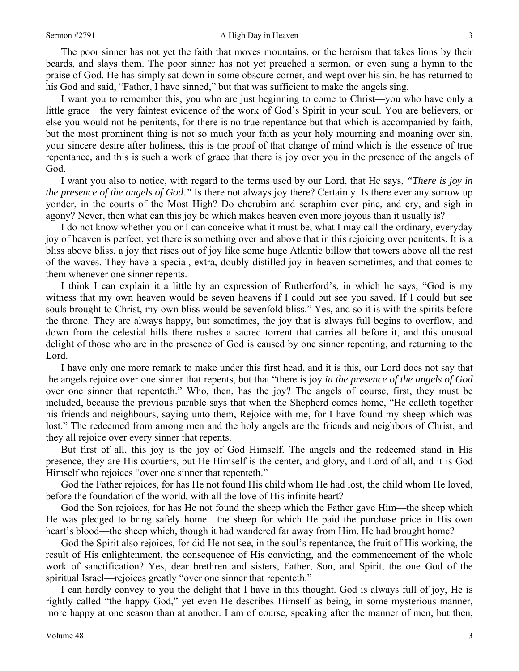#### Sermon #2791 **A High Day in Heaven** 3

The poor sinner has not yet the faith that moves mountains, or the heroism that takes lions by their beards, and slays them. The poor sinner has not yet preached a sermon, or even sung a hymn to the praise of God. He has simply sat down in some obscure corner, and wept over his sin, he has returned to his God and said, "Father, I have sinned," but that was sufficient to make the angels sing.

I want you to remember this, you who are just beginning to come to Christ—you who have only a little grace—the very faintest evidence of the work of God's Spirit in your soul. You are believers, or else you would not be penitents, for there is no true repentance but that which is accompanied by faith, but the most prominent thing is not so much your faith as your holy mourning and moaning over sin, your sincere desire after holiness, this is the proof of that change of mind which is the essence of true repentance, and this is such a work of grace that there is joy over you in the presence of the angels of God.

I want you also to notice, with regard to the terms used by our Lord, that He says, *"There is joy in the presence of the angels of God."* Is there not always joy there? Certainly. Is there ever any sorrow up yonder, in the courts of the Most High? Do cherubim and seraphim ever pine, and cry, and sigh in agony? Never, then what can this joy be which makes heaven even more joyous than it usually is?

I do not know whether you or I can conceive what it must be, what I may call the ordinary, everyday joy of heaven is perfect, yet there is something over and above that in this rejoicing over penitents. It is a bliss above bliss, a joy that rises out of joy like some huge Atlantic billow that towers above all the rest of the waves. They have a special, extra, doubly distilled joy in heaven sometimes, and that comes to them whenever one sinner repents.

I think I can explain it a little by an expression of Rutherford's, in which he says, "God is my witness that my own heaven would be seven heavens if I could but see you saved. If I could but see souls brought to Christ, my own bliss would be sevenfold bliss." Yes, and so it is with the spirits before the throne. They are always happy, but sometimes, the joy that is always full begins to overflow, and down from the celestial hills there rushes a sacred torrent that carries all before it, and this unusual delight of those who are in the presence of God is caused by one sinner repenting, and returning to the Lord.

I have only one more remark to make under this first head, and it is this, our Lord does not say that the angels rejoice over one sinner that repents, but that "there is joy *in the presence of the angels of God* over one sinner that repenteth." Who, then, has the joy? The angels of course, first, they must be included, because the previous parable says that when the Shepherd comes home, "He calleth together his friends and neighbours, saying unto them, Rejoice with me, for I have found my sheep which was lost." The redeemed from among men and the holy angels are the friends and neighbors of Christ, and they all rejoice over every sinner that repents.

But first of all, this joy is the joy of God Himself. The angels and the redeemed stand in His presence, they are His courtiers, but He Himself is the center, and glory, and Lord of all, and it is God Himself who rejoices "over one sinner that repenteth."

God the Father rejoices, for has He not found His child whom He had lost, the child whom He loved, before the foundation of the world, with all the love of His infinite heart?

God the Son rejoices, for has He not found the sheep which the Father gave Him—the sheep which He was pledged to bring safely home—the sheep for which He paid the purchase price in His own heart's blood—the sheep which, though it had wandered far away from Him, He had brought home?

God the Spirit also rejoices, for did He not see, in the soul's repentance, the fruit of His working, the result of His enlightenment, the consequence of His convicting, and the commencement of the whole work of sanctification? Yes, dear brethren and sisters, Father, Son, and Spirit, the one God of the spiritual Israel—rejoices greatly "over one sinner that repenteth."

I can hardly convey to you the delight that I have in this thought. God is always full of joy, He is rightly called "the happy God," yet even He describes Himself as being, in some mysterious manner, more happy at one season than at another. I am of course, speaking after the manner of men, but then,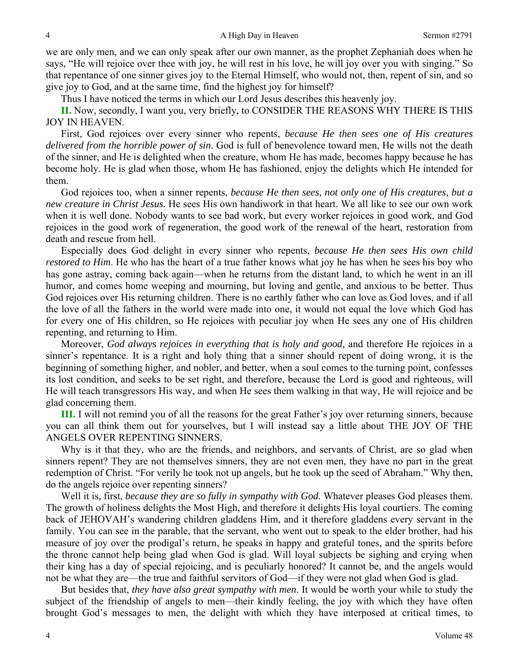we are only men, and we can only speak after our own manner, as the prophet Zephaniah does when he says, "He will rejoice over thee with joy, he will rest in his love, he will joy over you with singing." So that repentance of one sinner gives joy to the Eternal Himself, who would not, then, repent of sin, and so give joy to God, and at the same time, find the highest joy for himself?

Thus I have noticed the terms in which our Lord Jesus describes this heavenly joy.

**II.** Now, secondly, I want you, very briefly, to CONSIDER THE REASONS WHY THERE IS THIS JOY IN HEAVEN.

First, God rejoices over every sinner who repents, *because He then sees one of His creatures delivered from the horrible power of sin*. God is full of benevolence toward men, He wills not the death of the sinner, and He is delighted when the creature, whom He has made, becomes happy because he has become holy. He is glad when those, whom He has fashioned, enjoy the delights which He intended for them.

God rejoices too, when a sinner repents, *because He then sees, not only one of His creatures, but a new creature in Christ Jesus.* He sees His own handiwork in that heart. We all like to see our own work when it is well done. Nobody wants to see bad work, but every worker rejoices in good work, and God rejoices in the good work of regeneration, the good work of the renewal of the heart, restoration from death and rescue from hell.

Especially does God delight in every sinner who repents, *because He then sees His own child restored to Him*. He who has the heart of a true father knows what joy he has when he sees his boy who has gone astray, coming back again—when he returns from the distant land, to which he went in an ill humor, and comes home weeping and mourning, but loving and gentle, and anxious to be better. Thus God rejoices over His returning children. There is no earthly father who can love as God loves, and if all the love of all the fathers in the world were made into one, it would not equal the love which God has for every one of His children, so He rejoices with peculiar joy when He sees any one of His children repenting, and returning to Him.

Moreover, *God always rejoices in everything that is holy and good,* and therefore He rejoices in a sinner's repentance. It is a right and holy thing that a sinner should repent of doing wrong, it is the beginning of something higher, and nobler, and better, when a soul comes to the turning point, confesses its lost condition, and seeks to be set right, and therefore, because the Lord is good and righteous, will He will teach transgressors His way, and when He sees them walking in that way, He will rejoice and be glad concerning them.

**III.** I will not remind you of all the reasons for the great Father's joy over returning sinners, because you can all think them out for yourselves, but I will instead say a little about THE JOY OF THE ANGELS OVER REPENTING SINNERS.

Why is it that they, who are the friends, and neighbors, and servants of Christ, are so glad when sinners repent? They are not themselves sinners, they are not even men, they have no part in the great redemption of Christ. "For verily he took not up angels, but he took up the seed of Abraham." Why then, do the angels rejoice over repenting sinners?

Well it is, first, *because they are so fully in sympathy with God*. Whatever pleases God pleases them. The growth of holiness delights the Most High, and therefore it delights His loyal courtiers. The coming back of JEHOVAH's wandering children gladdens Him, and it therefore gladdens every servant in the family. You can see in the parable, that the servant, who went out to speak to the elder brother, had his measure of joy over the prodigal's return, he speaks in happy and grateful tones, and the spirits before the throne cannot help being glad when God is glad. Will loyal subjects be sighing and crying when their king has a day of special rejoicing, and is peculiarly honored? It cannot be, and the angels would not be what they are—the true and faithful servitors of God—if they were not glad when God is glad.

But besides that, *they have also great sympathy with men*. It would be worth your while to study the subject of the friendship of angels to men—their kindly feeling, the joy with which they have often brought God's messages to men, the delight with which they have interposed at critical times, to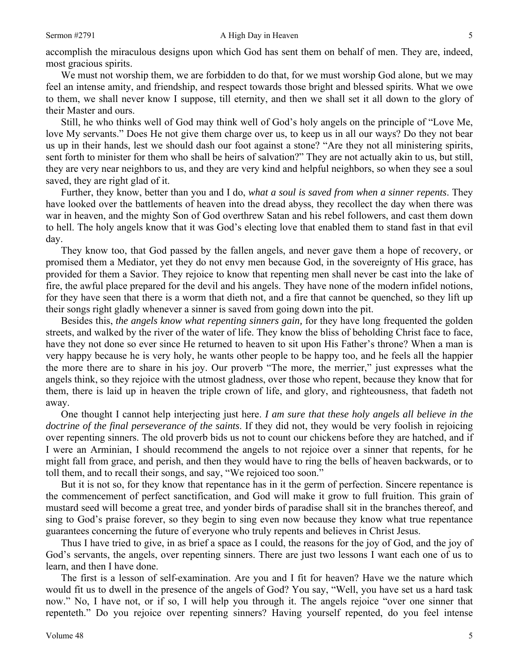accomplish the miraculous designs upon which God has sent them on behalf of men. They are, indeed, most gracious spirits.

We must not worship them, we are forbidden to do that, for we must worship God alone, but we may feel an intense amity, and friendship, and respect towards those bright and blessed spirits. What we owe to them, we shall never know I suppose, till eternity, and then we shall set it all down to the glory of their Master and ours.

Still, he who thinks well of God may think well of God's holy angels on the principle of "Love Me, love My servants." Does He not give them charge over us, to keep us in all our ways? Do they not bear us up in their hands, lest we should dash our foot against a stone? "Are they not all ministering spirits, sent forth to minister for them who shall be heirs of salvation?" They are not actually akin to us, but still, they are very near neighbors to us, and they are very kind and helpful neighbors, so when they see a soul saved, they are right glad of it.

Further, they know, better than you and I do, *what a soul is saved from when a sinner repents*. They have looked over the battlements of heaven into the dread abyss, they recollect the day when there was war in heaven, and the mighty Son of God overthrew Satan and his rebel followers, and cast them down to hell. The holy angels know that it was God's electing love that enabled them to stand fast in that evil day.

They know too, that God passed by the fallen angels, and never gave them a hope of recovery, or promised them a Mediator, yet they do not envy men because God, in the sovereignty of His grace, has provided for them a Savior. They rejoice to know that repenting men shall never be cast into the lake of fire, the awful place prepared for the devil and his angels. They have none of the modern infidel notions, for they have seen that there is a worm that dieth not, and a fire that cannot be quenched, so they lift up their songs right gladly whenever a sinner is saved from going down into the pit.

Besides this, *the angels know what repenting sinners gain,* for they have long frequented the golden streets, and walked by the river of the water of life. They know the bliss of beholding Christ face to face, have they not done so ever since He returned to heaven to sit upon His Father's throne? When a man is very happy because he is very holy, he wants other people to be happy too, and he feels all the happier the more there are to share in his joy. Our proverb "The more, the merrier," just expresses what the angels think, so they rejoice with the utmost gladness, over those who repent, because they know that for them, there is laid up in heaven the triple crown of life, and glory, and righteousness, that fadeth not away.

One thought I cannot help interjecting just here. *I am sure that these holy angels all believe in the doctrine of the final perseverance of the saints*. If they did not, they would be very foolish in rejoicing over repenting sinners. The old proverb bids us not to count our chickens before they are hatched, and if I were an Arminian, I should recommend the angels to not rejoice over a sinner that repents, for he might fall from grace, and perish, and then they would have to ring the bells of heaven backwards, or to toll them, and to recall their songs, and say, "We rejoiced too soon."

But it is not so, for they know that repentance has in it the germ of perfection. Sincere repentance is the commencement of perfect sanctification, and God will make it grow to full fruition. This grain of mustard seed will become a great tree, and yonder birds of paradise shall sit in the branches thereof, and sing to God's praise forever, so they begin to sing even now because they know what true repentance guarantees concerning the future of everyone who truly repents and believes in Christ Jesus.

Thus I have tried to give, in as brief a space as I could, the reasons for the joy of God, and the joy of God's servants, the angels, over repenting sinners. There are just two lessons I want each one of us to learn, and then I have done.

The first is a lesson of self-examination. Are you and I fit for heaven? Have we the nature which would fit us to dwell in the presence of the angels of God? You say, "Well, you have set us a hard task now." No, I have not, or if so, I will help you through it. The angels rejoice "over one sinner that repenteth." Do you rejoice over repenting sinners? Having yourself repented, do you feel intense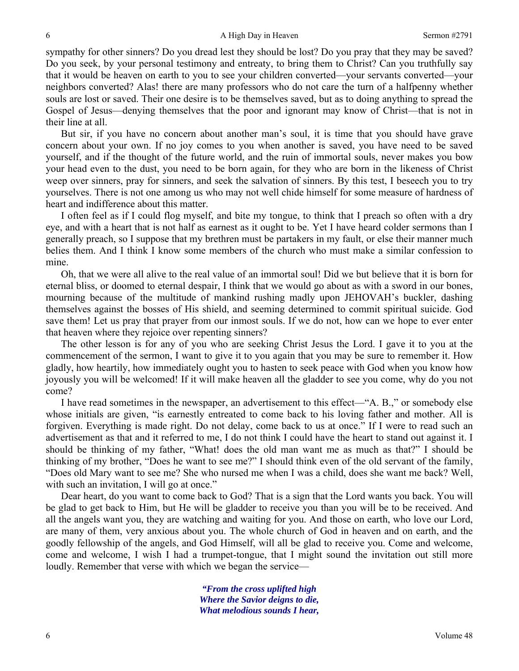sympathy for other sinners? Do you dread lest they should be lost? Do you pray that they may be saved? Do you seek, by your personal testimony and entreaty, to bring them to Christ? Can you truthfully say that it would be heaven on earth to you to see your children converted—your servants converted—your neighbors converted? Alas! there are many professors who do not care the turn of a halfpenny whether souls are lost or saved. Their one desire is to be themselves saved, but as to doing anything to spread the Gospel of Jesus—denying themselves that the poor and ignorant may know of Christ—that is not in their line at all.

But sir, if you have no concern about another man's soul, it is time that you should have grave concern about your own. If no joy comes to you when another is saved, you have need to be saved yourself, and if the thought of the future world, and the ruin of immortal souls, never makes you bow your head even to the dust, you need to be born again, for they who are born in the likeness of Christ weep over sinners, pray for sinners, and seek the salvation of sinners. By this test, I beseech you to try yourselves. There is not one among us who may not well chide himself for some measure of hardness of heart and indifference about this matter.

I often feel as if I could flog myself, and bite my tongue, to think that I preach so often with a dry eye, and with a heart that is not half as earnest as it ought to be. Yet I have heard colder sermons than I generally preach, so I suppose that my brethren must be partakers in my fault, or else their manner much belies them. And I think I know some members of the church who must make a similar confession to mine.

Oh, that we were all alive to the real value of an immortal soul! Did we but believe that it is born for eternal bliss, or doomed to eternal despair, I think that we would go about as with a sword in our bones, mourning because of the multitude of mankind rushing madly upon JEHOVAH's buckler, dashing themselves against the bosses of His shield, and seeming determined to commit spiritual suicide. God save them! Let us pray that prayer from our inmost souls. If we do not, how can we hope to ever enter that heaven where they rejoice over repenting sinners?

The other lesson is for any of you who are seeking Christ Jesus the Lord. I gave it to you at the commencement of the sermon, I want to give it to you again that you may be sure to remember it. How gladly, how heartily, how immediately ought you to hasten to seek peace with God when you know how joyously you will be welcomed! If it will make heaven all the gladder to see you come, why do you not come?

I have read sometimes in the newspaper, an advertisement to this effect—"A. B.," or somebody else whose initials are given, "is earnestly entreated to come back to his loving father and mother. All is forgiven. Everything is made right. Do not delay, come back to us at once." If I were to read such an advertisement as that and it referred to me, I do not think I could have the heart to stand out against it. I should be thinking of my father, "What! does the old man want me as much as that?" I should be thinking of my brother, "Does he want to see me?" I should think even of the old servant of the family, "Does old Mary want to see me? She who nursed me when I was a child, does she want me back? Well, with such an invitation, I will go at once."

Dear heart, do you want to come back to God? That is a sign that the Lord wants you back. You will be glad to get back to Him, but He will be gladder to receive you than you will be to be received. And all the angels want you, they are watching and waiting for you. And those on earth, who love our Lord, are many of them, very anxious about you. The whole church of God in heaven and on earth, and the goodly fellowship of the angels, and God Himself, will all be glad to receive you. Come and welcome, come and welcome, I wish I had a trumpet-tongue, that I might sound the invitation out still more loudly. Remember that verse with which we began the service—

> *"From the cross uplifted high Where the Savior deigns to die, What melodious sounds I hear,*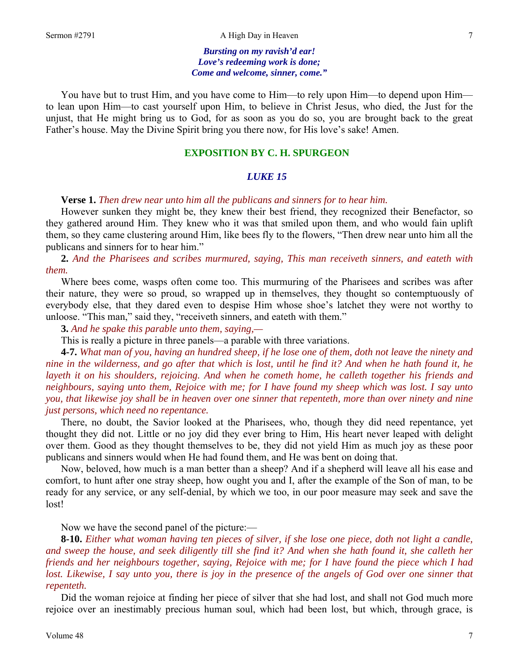#### Sermon #2791 **A High Day in Heaven** 7

*Bursting on my ravish'd ear! Love's redeeming work is done; Come and welcome, sinner, come."* 

You have but to trust Him, and you have come to Him—to rely upon Him—to depend upon Him to lean upon Him—to cast yourself upon Him, to believe in Christ Jesus, who died, the Just for the unjust, that He might bring us to God, for as soon as you do so, you are brought back to the great Father's house. May the Divine Spirit bring you there now, for His love's sake! Amen.

### **EXPOSITION BY C. H. SPURGEON**

### *LUKE 15*

#### **Verse 1.** *Then drew near unto him all the publicans and sinners for to hear him.*

However sunken they might be, they knew their best friend, they recognized their Benefactor, so they gathered around Him. They knew who it was that smiled upon them, and who would fain uplift them, so they came clustering around Him, like bees fly to the flowers, "Then drew near unto him all the publicans and sinners for to hear him."

**2.** *And the Pharisees and scribes murmured, saying, This man receiveth sinners, and eateth with them.* 

Where bees come, wasps often come too. This murmuring of the Pharisees and scribes was after their nature, they were so proud, so wrapped up in themselves, they thought so contemptuously of everybody else, that they dared even to despise Him whose shoe's latchet they were not worthy to unloose. "This man," said they, "receiveth sinners, and eateth with them."

**3.** *And he spake this parable unto them, saying,—* 

This is really a picture in three panels—a parable with three variations.

**4-7.** *What man of you, having an hundred sheep, if he lose one of them, doth not leave the ninety and nine in the wilderness, and go after that which is lost, until he find it? And when he hath found it, he layeth it on his shoulders, rejoicing. And when he cometh home, he calleth together his friends and neighbours, saying unto them, Rejoice with me; for I have found my sheep which was lost. I say unto you, that likewise joy shall be in heaven over one sinner that repenteth, more than over ninety and nine just persons, which need no repentance.* 

There, no doubt, the Savior looked at the Pharisees, who, though they did need repentance, yet thought they did not. Little or no joy did they ever bring to Him, His heart never leaped with delight over them. Good as they thought themselves to be, they did not yield Him as much joy as these poor publicans and sinners would when He had found them, and He was bent on doing that.

Now, beloved, how much is a man better than a sheep? And if a shepherd will leave all his ease and comfort, to hunt after one stray sheep, how ought you and I, after the example of the Son of man, to be ready for any service, or any self-denial, by which we too, in our poor measure may seek and save the lost!

Now we have the second panel of the picture:—

**8-10.** *Either what woman having ten pieces of silver, if she lose one piece, doth not light a candle, and sweep the house, and seek diligently till she find it? And when she hath found it, she calleth her friends and her neighbours together, saying, Rejoice with me; for I have found the piece which I had lost. Likewise, I say unto you, there is joy in the presence of the angels of God over one sinner that repenteth.* 

Did the woman rejoice at finding her piece of silver that she had lost, and shall not God much more rejoice over an inestimably precious human soul, which had been lost, but which, through grace, is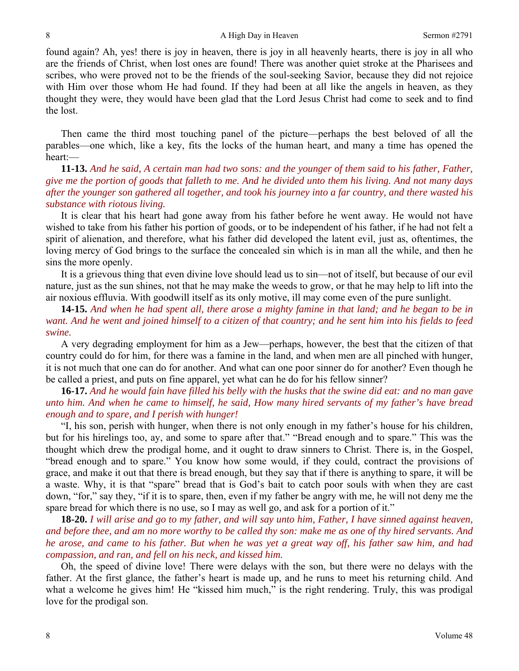found again? Ah, yes! there is joy in heaven, there is joy in all heavenly hearts, there is joy in all who are the friends of Christ, when lost ones are found! There was another quiet stroke at the Pharisees and scribes, who were proved not to be the friends of the soul-seeking Savior, because they did not rejoice with Him over those whom He had found. If they had been at all like the angels in heaven, as they thought they were, they would have been glad that the Lord Jesus Christ had come to seek and to find the lost.

Then came the third most touching panel of the picture—perhaps the best beloved of all the parables—one which, like a key, fits the locks of the human heart, and many a time has opened the heart:—

**11-13.** *And he said, A certain man had two sons: and the younger of them said to his father, Father, give me the portion of goods that falleth to me. And he divided unto them his living. And not many days after the younger son gathered all together, and took his journey into a far country, and there wasted his substance with riotous living.* 

It is clear that his heart had gone away from his father before he went away. He would not have wished to take from his father his portion of goods, or to be independent of his father, if he had not felt a spirit of alienation, and therefore, what his father did developed the latent evil, just as, oftentimes, the loving mercy of God brings to the surface the concealed sin which is in man all the while, and then he sins the more openly.

It is a grievous thing that even divine love should lead us to sin—not of itself, but because of our evil nature, just as the sun shines, not that he may make the weeds to grow, or that he may help to lift into the air noxious effluvia. With goodwill itself as its only motive, ill may come even of the pure sunlight.

**14-15.** *And when he had spent all, there arose a mighty famine in that land; and he began to be in want. And he went and joined himself to a citizen of that country; and he sent him into his fields to feed swine.* 

A very degrading employment for him as a Jew—perhaps, however, the best that the citizen of that country could do for him, for there was a famine in the land, and when men are all pinched with hunger, it is not much that one can do for another. And what can one poor sinner do for another? Even though he be called a priest, and puts on fine apparel, yet what can he do for his fellow sinner?

## **16-17.** *And he would fain have filled his belly with the husks that the swine did eat: and no man gave unto him. And when he came to himself, he said, How many hired servants of my father's have bread enough and to spare, and I perish with hunger!*

"I, his son, perish with hunger, when there is not only enough in my father's house for his children, but for his hirelings too, ay, and some to spare after that." "Bread enough and to spare." This was the thought which drew the prodigal home, and it ought to draw sinners to Christ. There is, in the Gospel, "bread enough and to spare." You know how some would, if they could, contract the provisions of grace, and make it out that there is bread enough, but they say that if there is anything to spare, it will be a waste. Why, it is that "spare" bread that is God's bait to catch poor souls with when they are cast down, "for," say they, "if it is to spare, then, even if my father be angry with me, he will not deny me the spare bread for which there is no use, so I may as well go, and ask for a portion of it."

**18-20.** *I will arise and go to my father, and will say unto him, Father, I have sinned against heaven, and before thee, and am no more worthy to be called thy son: make me as one of thy hired servants. And he arose, and came to his father. But when he was yet a great way off, his father saw him, and had compassion, and ran, and fell on his neck, and kissed him.* 

Oh, the speed of divine love! There were delays with the son, but there were no delays with the father. At the first glance, the father's heart is made up, and he runs to meet his returning child. And what a welcome he gives him! He "kissed him much," is the right rendering. Truly, this was prodigal love for the prodigal son.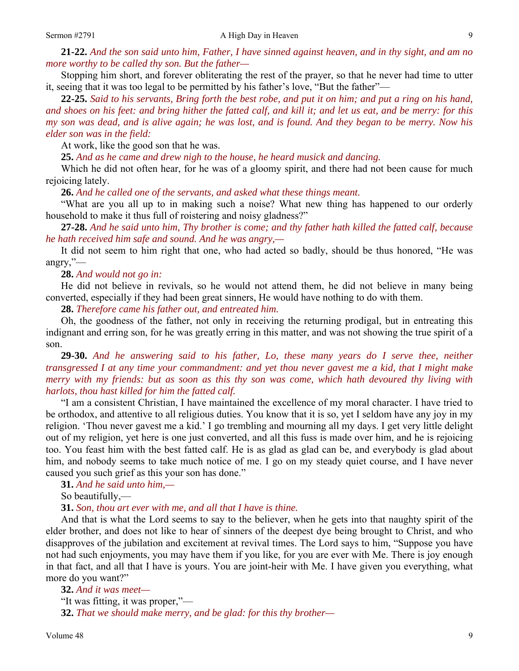**21-22.** *And the son said unto him, Father, I have sinned against heaven, and in thy sight, and am no more worthy to be called thy son. But the father—* 

Stopping him short, and forever obliterating the rest of the prayer, so that he never had time to utter it, seeing that it was too legal to be permitted by his father's love, "But the father"—

**22-25.** *Said to his servants, Bring forth the best robe, and put it on him; and put a ring on his hand, and shoes on his feet: and bring hither the fatted calf, and kill it; and let us eat, and be merry: for this my son was dead, and is alive again; he was lost, and is found. And they began to be merry. Now his elder son was in the field:* 

At work, like the good son that he was.

**25.** *And as he came and drew nigh to the house, he heard musick and dancing.* 

Which he did not often hear, for he was of a gloomy spirit, and there had not been cause for much rejoicing lately.

**26.** *And he called one of the servants, and asked what these things meant.* 

"What are you all up to in making such a noise? What new thing has happened to our orderly household to make it thus full of roistering and noisy gladness?"

**27-28.** *And he said unto him, Thy brother is come; and thy father hath killed the fatted calf, because he hath received him safe and sound. And he was angry,—* 

It did not seem to him right that one, who had acted so badly, should be thus honored, "He was angry,"—

**28.** *And would not go in:* 

He did not believe in revivals, so he would not attend them, he did not believe in many being converted, especially if they had been great sinners, He would have nothing to do with them.

**28.** *Therefore came his father out, and entreated him.* 

Oh, the goodness of the father, not only in receiving the returning prodigal, but in entreating this indignant and erring son, for he was greatly erring in this matter, and was not showing the true spirit of a son.

**29-30.** *And he answering said to his father, Lo, these many years do I serve thee, neither transgressed I at any time your commandment: and yet thou never gavest me a kid, that I might make merry with my friends: but as soon as this thy son was come, which hath devoured thy living with harlots, thou hast killed for him the fatted calf.* 

"I am a consistent Christian, I have maintained the excellence of my moral character. I have tried to be orthodox, and attentive to all religious duties. You know that it is so, yet I seldom have any joy in my religion. 'Thou never gavest me a kid.' I go trembling and mourning all my days. I get very little delight out of my religion, yet here is one just converted, and all this fuss is made over him, and he is rejoicing too. You feast him with the best fatted calf. He is as glad as glad can be, and everybody is glad about him, and nobody seems to take much notice of me. I go on my steady quiet course, and I have never caused you such grief as this your son has done."

**31.** *And he said unto him,—* 

So beautifully,—

**31.** *Son, thou art ever with me, and all that I have is thine.* 

And that is what the Lord seems to say to the believer, when he gets into that naughty spirit of the elder brother, and does not like to hear of sinners of the deepest dye being brought to Christ, and who disapproves of the jubilation and excitement at revival times. The Lord says to him, "Suppose you have not had such enjoyments, you may have them if you like, for you are ever with Me. There is joy enough in that fact, and all that I have is yours. You are joint-heir with Me. I have given you everything, what more do you want?"

**32.** *And it was meet—* 

"It was fitting, it was proper,"—

**32.** *That we should make merry, and be glad: for this thy brother—*